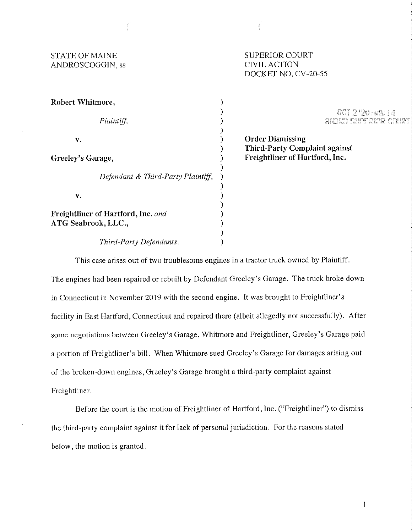| <b>STATE OF MAINE</b><br>ANDROSCOGGIN, ss                 | <b>SUPERIOR COURT</b><br><b>CIVIL ACTION</b><br>DOCKET NO. CV-20-55    |
|-----------------------------------------------------------|------------------------------------------------------------------------|
| Robert Whitmore,                                          |                                                                        |
| Plaintiff,                                                | $001220$ $\mu$<br>ANDRO SUPERI                                         |
| v.                                                        | <b>Order Dismissing</b>                                                |
| Greeley's Garage,                                         | <b>Third-Party Complaint against</b><br>Freightliner of Hartford, Inc. |
| Defendant & Third-Party Plaintiff,                        |                                                                        |
| v.                                                        |                                                                        |
| Freightliner of Hartford, Inc. and<br>ATG Seabrook, LLC., |                                                                        |
| Third-Party Defendants.                                   |                                                                        |

This case arises out of two troublesome engines in a tractor truck owned by Plaintiff.

The engines had been repaired or rebuilt by Defendant Greeley's Garage. The truck broke down in Connecticut in November 2019 with the second engine. It was brought to Freightliner's facility in East Hartford, Connecticut and repaired there (albeit allegedly not successfully). After some negotiations between Greeley's Garage, Whitmore and Freightliner, Greeley's Garage paid a portion of Freightliner's bill. When Whitmore sued Greeley's Garage for damages arising out of the broken-down engines, Greeley's Garage brought a third-party complaint against Freightliner.

Before the court is the motion of Freightliner of Hartford, Inc. ("Freightliner") to dismiss the third-party complaint against **it** for lack of personal jurisdiction. For the reasons stated below, the motion is granted.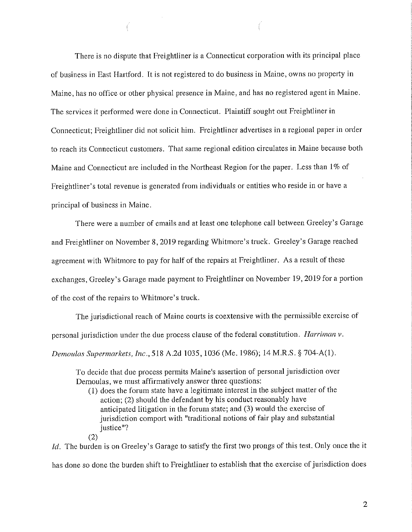There is no dispute that Freightliner is a Connecticut corporation with its principal place of business in East Hartford. It is not registered to do business in Maine, owns no property in Maine, has no office or other physical presence in Maine, and has no registered agent in Maine. The services it petformed were done in Connecticut. Plaintiff sought out Freightliner in Connecticut; Freightliner did not solicit him. Freightliner advertises in a regional paper in order to reach its Connecticut customers. That same regional edition circulates in Maine because both Maine and Connecticut are included in the Northeast Region for the paper. Less than 1% of Freightliner's total revenue is generated from individuals or entities who reside in or have a principal of business in Maine.

There were a number of emails and at least one telephone call between Greeley's Garage and Freightliner on November 8, 2019 regarding Whitmore's truck. Greeley's Garage reached agreement with Whitmore to pay for half of the repairs at Freightliner. As a result of these exchanges, Greeley's Garage made payment to Freightliner on November 19, 2019 for a portion of the cost of the repairs to Whitmore's truck.

The jurisdictional reach of Maine courts is coextensive with the permissible exercise of personal jurisdiction under the due process clause of the federal constitution. *Harriman v.* 

*Demoulas Supermarkets, Inc.,* 518 A.2d 1035, 1036 (Me. 1986); 14 M.R.S. § 704-A(l).

To decide that due process permits Maine's assertion of personal jurisdiction over Demoulas, we must affirmatively answer three questions:

(l) does the forum state have a legitimate interest in the subject matter of the action; (2) should the defendant by his conduct reasonably have anticipated litigation in the forum state; and (3) would the exercise of jurisdiction comport with "traditional notions of fair play and substantial justice"?

(2)

*Id.* The burden is on Greeley's Garage to satisfy the first two prongs of this test. Only once the it has done so done the burden shift to Freightliner to establish that the exercise of jurisdiction does

2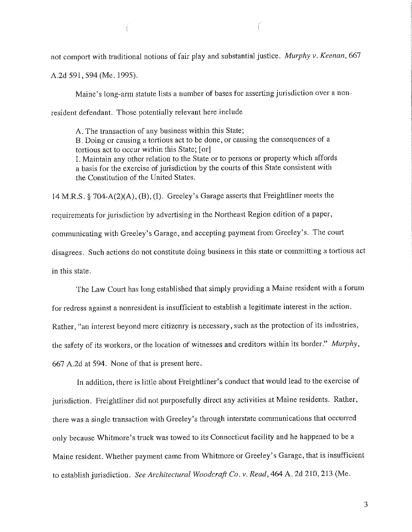not comport with traditional notions of fair play and substantial justice. *Murphy v. Keenan,* 667

A.2d 591,594 (Me. 1995).

Maine's Jong-arm statute lists a number of bases for asserting jurisdiction over a nonresident defendant. Those potentially relevant here include

A. The transaction of any business within this State; B. Doing or causing a tortious act to be done, or causing the consequences of a tortious act to occur within this State; [ orJ I. Maintain any other relation to the State or to persons or property which affords a basis for the exercise of jurisdiction by the courts of this State consistent with the Constitution of the United States.

14 M.R.S. § 704-A(2)(A), (B), (I). Greeley's Garage asserts that Freightliner meets the requirements for jurisdiction by advertising in the Northeast Region edition of a paper, communicating with Greeley's Garage, and accepting payment from Greeley's. The comt disagrees. Such actions do not constitute doing business in this state or committing a tortious act in this state.

The Law Court has long established that simply providing a Maine resident with a forum for redress against a nonresident is insufficient to establish a legitimate interest in the action. Rather, "an interest beyond mere citizenry is necessary, such as the protection of its industries, the safety of its workers, or the location of witnesses and creditors within its border." *Murphy,*  667 A.2d at 594. None of that is present here.

In addition, there is little about Freightliner's conduct that would lead to the exercise of jurisdiction. Freightliner did not purposefully direct any activities at Maine residents. Rather, there was a single transaction with Greeley's through interstate communications that occurred only because Whitmore's truck was towed to its Connecticut facility and he happened to be a Maine resident. Whether payment came from Whitmore or Greeley's Garage, that is insufficient to establish jurisdiction. *See Architectural Woodcraft Co. v. Read,* 464 A. 2d 210,213 (Me.

3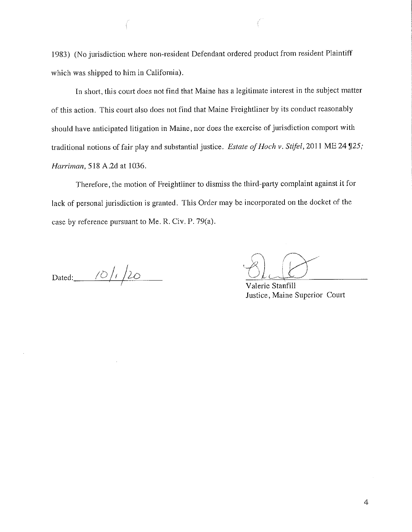1983) (No jurisdiction where non-resident Defendant ordered product from resident Plaintiff which was shipped to him in California).

In short, this court does not find that Maine has a legitimate interest in the subject matter of this action. This court also does not find that Maine Freightliner by its conduct reasonably should have anticipated litigation in Maine, nor does the exercise of jurisdiction comport with traditional notions of fair play and substantial justice. *Estate of Hoch v. Stifel*, 2011 ME 24 125; *Harriman,* 518 A.2d at 1036.

Therefore, the motion of Freightliner to dismiss the third-party complaint against it for lack of personal jurisdiction is granted. This Order may be incorporated on the docket of the case by reference pursuant to Me. R. Civ. P.  $79(a)$ .

 $Dated:$   $\frac{10}{11}$  20

Justice, Maine Superior Court